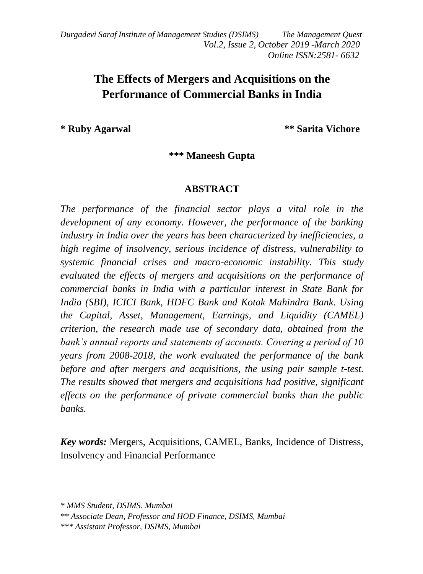*Durgadevi Saraf Institute of Management Studies (DSIMS) The Management Quest Vol.2, Issue 2, October 2019 -March 2020 Online ISSN:2581- 6632*

# **The Effects of Mergers and Acquisitions on the Performance of Commercial Banks in India**

**\* Ruby Agarwal \*\* Sarita Vichore**

**\*\*\* Maneesh Gupta**

#### **ABSTRACT**

*The performance of the financial sector plays a vital role in the development of any economy. However, the performance of the banking industry in India over the years has been characterized by inefficiencies, a high regime of insolvency, serious incidence of distress, vulnerability to systemic financial crises and macro-economic instability. This study evaluated the effects of mergers and acquisitions on the performance of commercial banks in India with a particular interest in State Bank for India (SBI), ICICI Bank, HDFC Bank and Kotak Mahindra Bank. Using the Capital, Asset, Management, Earnings, and Liquidity (CAMEL) criterion, the research made use of secondary data, obtained from the bank's annual reports and statements of accounts. Covering a period of 10 years from 2008-2018, the work evaluated the performance of the bank before and after mergers and acquisitions, the using pair sample t-test. The results showed that mergers and acquisitions had positive, significant effects on the performance of private commercial banks than the public banks.* 

*Key words:* Mergers, Acquisitions, CAMEL, Banks, Incidence of Distress, Insolvency and Financial Performance

*<sup>\*</sup> MMS Student, DSIMS. Mumbai*

*<sup>\*\*</sup> Associate Dean, Professor and HOD Finance, DSIMS, Mumbai \*\*\* Assistant Professor, DSIMS, Mumbai*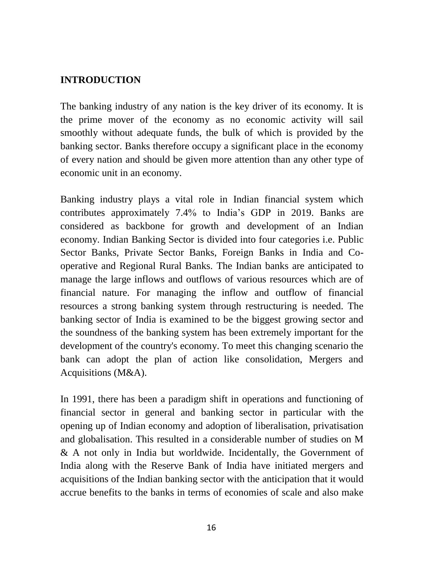## **INTRODUCTION**

The banking industry of any nation is the key driver of its economy. It is the prime mover of the economy as no economic activity will sail smoothly without adequate funds, the bulk of which is provided by the banking sector. Banks therefore occupy a significant place in the economy of every nation and should be given more attention than any other type of economic unit in an economy.

Banking industry plays a vital role in Indian financial system which contributes approximately 7.4% to India's GDP in 2019. Banks are considered as backbone for growth and development of an Indian economy. Indian Banking Sector is divided into four categories i.e. Public Sector Banks, Private Sector Banks, Foreign Banks in India and Cooperative and Regional Rural Banks. The Indian banks are anticipated to manage the large inflows and outflows of various resources which are of financial nature. For managing the inflow and outflow of financial resources a strong banking system through restructuring is needed. The banking sector of India is examined to be the biggest growing sector and the soundness of the banking system has been extremely important for the development of the country's economy. To meet this changing scenario the bank can adopt the plan of action like consolidation, Mergers and Acquisitions (M&A).

In 1991, there has been a paradigm shift in operations and functioning of financial sector in general and banking sector in particular with the opening up of Indian economy and adoption of liberalisation, privatisation and globalisation. This resulted in a considerable number of studies on M & A not only in India but worldwide. Incidentally, the Government of India along with the Reserve Bank of India have initiated mergers and acquisitions of the Indian banking sector with the anticipation that it would accrue benefits to the banks in terms of economies of scale and also make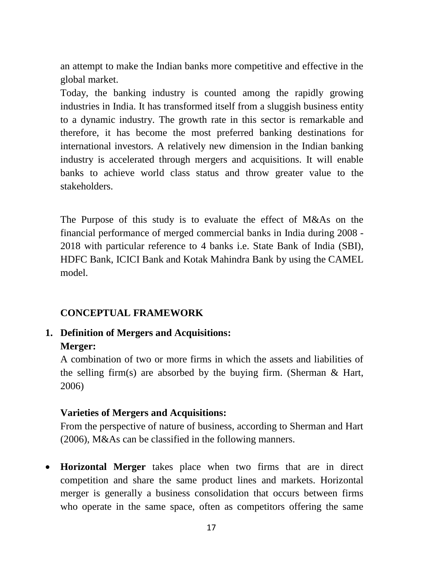an attempt to make the Indian banks more competitive and effective in the global market.

Today, the banking industry is counted among the rapidly growing industries in India. It has transformed itself from a sluggish business entity to a dynamic industry. The growth rate in this sector is remarkable and therefore, it has become the most preferred banking destinations for international investors. A relatively new dimension in the Indian banking industry is accelerated through mergers and acquisitions. It will enable banks to achieve world class status and throw greater value to the stakeholders.

The Purpose of this study is to evaluate the effect of M&As on the financial performance of merged commercial banks in India during 2008 - 2018 with particular reference to 4 banks i.e. State Bank of India (SBI), HDFC Bank, ICICI Bank and Kotak Mahindra Bank by using the CAMEL model.

### **CONCEPTUAL FRAMEWORK**

**1. Definition of Mergers and Acquisitions: Merger:**

A combination of two or more firms in which the assets and liabilities of the selling firm(s) are absorbed by the buying firm. (Sherman  $\&$  Hart, 2006)

## **Varieties of Mergers and Acquisitions:**

From the perspective of nature of business, according to Sherman and Hart (2006), M&As can be classified in the following manners.

 **Horizontal Merger** takes place when two firms that are in direct competition and share the same product lines and markets. Horizontal merger is generally a business consolidation that occurs between firms who operate in the same space, often as competitors offering the same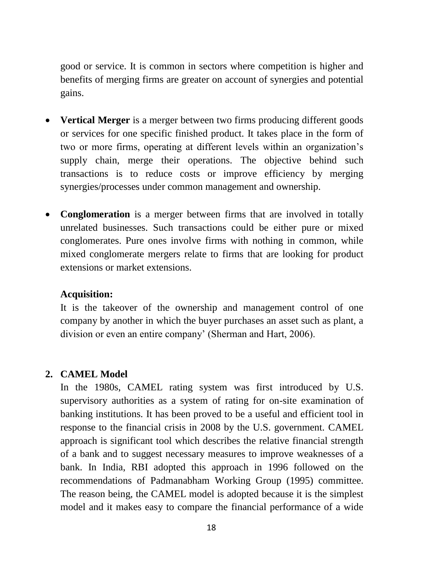good or service. It is common in sectors where competition is higher and benefits of merging firms are greater on account of synergies and potential gains.

- **Vertical Merger** is a merger between two firms producing different goods or services for one specific finished product. It takes place in the form of two or more firms, operating at different levels within an organization's supply chain, merge their operations. The objective behind such transactions is to reduce costs or improve efficiency by merging synergies/processes under common management and ownership.
- **Conglomeration** is a merger between firms that are involved in totally unrelated businesses. Such transactions could be either pure or mixed conglomerates. Pure ones involve firms with nothing in common, while mixed conglomerate mergers relate to firms that are looking for product extensions or market extensions.

### **Acquisition:**

It is the takeover of the ownership and management control of one company by another in which the buyer purchases an asset such as plant, a division or even an entire company' (Sherman and Hart, 2006).

### **2. CAMEL Model**

In the 1980s, CAMEL rating system was first introduced by U.S. supervisory authorities as a system of rating for on-site examination of banking institutions. It has been proved to be a useful and efficient tool in response to the financial crisis in 2008 by the U.S. government. CAMEL approach is significant tool which describes the relative financial strength of a bank and to suggest necessary measures to improve weaknesses of a bank. In India, RBI adopted this approach in 1996 followed on the recommendations of Padmanabham Working Group (1995) committee. The reason being, the CAMEL model is adopted because it is the simplest model and it makes easy to compare the financial performance of a wide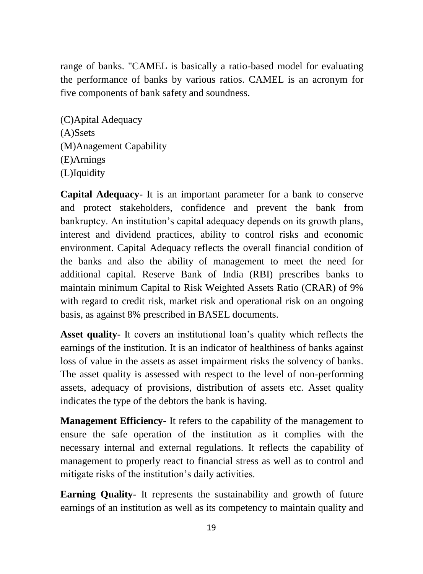range of banks. "CAMEL is basically a ratio-based model for evaluating the performance of banks by various ratios. CAMEL is an acronym for five components of bank safety and soundness.

(C)Apital Adequacy (A)Ssets (M)Anagement Capability (E)Arnings (L)Iquidity

**Capital Adequacy**- It is an important parameter for a bank to conserve and protect stakeholders, confidence and prevent the bank from bankruptcy. An institution's capital adequacy depends on its growth plans, interest and dividend practices, ability to control risks and economic environment. Capital Adequacy reflects the overall financial condition of the banks and also the ability of management to meet the need for additional capital. Reserve Bank of India (RBI) prescribes banks to maintain minimum Capital to Risk Weighted Assets Ratio (CRAR) of 9% with regard to credit risk, market risk and operational risk on an ongoing basis, as against 8% prescribed in BASEL documents.

**Asset quality**- It covers an institutional loan's quality which reflects the earnings of the institution. It is an indicator of healthiness of banks against loss of value in the assets as asset impairment risks the solvency of banks. The asset quality is assessed with respect to the level of non-performing assets, adequacy of provisions, distribution of assets etc. Asset quality indicates the type of the debtors the bank is having.

**Management Efficiency**- It refers to the capability of the management to ensure the safe operation of the institution as it complies with the necessary internal and external regulations. It reflects the capability of management to properly react to financial stress as well as to control and mitigate risks of the institution's daily activities.

**Earning Quality**- It represents the sustainability and growth of future earnings of an institution as well as its competency to maintain quality and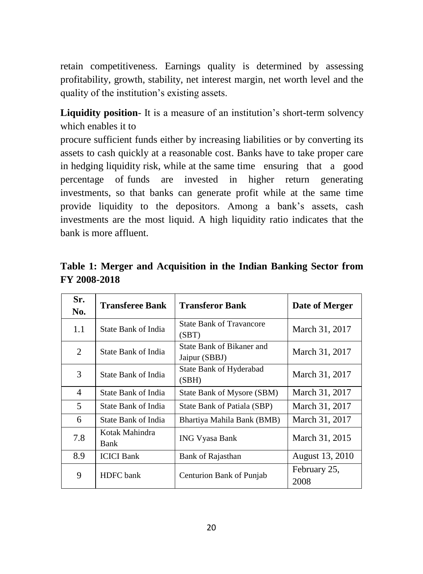retain competitiveness. Earnings quality is determined by assessing profitability, growth, stability, net interest margin, net worth level and the quality of the institution's existing assets.

**Liquidity position**- It is a measure of an institution's short-term solvency which enables it to

procure sufficient funds either by increasing liabilities or by converting its assets to cash quickly at a reasonable cost. Banks have to take proper care in hedging liquidity risk, while at the same time ensuring that a good percentage of funds are invested in higher return generating investments, so that banks can generate profit while at the same time provide liquidity to the depositors. Among a bank's assets, cash investments are the most liquid. A high liquidity ratio indicates that the bank is more affluent.

| Sr.<br>No. | <b>Transferee Bank</b> | Transferor Bank                            | Date of Merger       |  |
|------------|------------------------|--------------------------------------------|----------------------|--|
| 1.1        | State Bank of India    | <b>State Bank of Travancore</b><br>(SBT)   | March 31, 2017       |  |
| 2          | State Bank of India    | State Bank of Bikaner and<br>Jaipur (SBBJ) | March 31, 2017       |  |
| 3          | State Bank of India    | State Bank of Hyderabad<br>(SBH)           | March 31, 2017       |  |
| 4          | State Bank of India    | State Bank of Mysore (SBM)                 | March 31, 2017       |  |
| 5          | State Bank of India    | State Bank of Patiala (SBP)                | March 31, 2017       |  |
| 6          | State Bank of India    | Bhartiya Mahila Bank (BMB)                 | March 31, 2017       |  |
| 7.8        | Kotak Mahindra<br>Bank | <b>ING Vyasa Bank</b>                      | March 31, 2015       |  |
| 8.9        | <b>ICICI</b> Bank      | Bank of Rajasthan                          | August 13, 2010      |  |
| 9          | <b>HDFC</b> bank       | Centurion Bank of Punjab                   | February 25,<br>2008 |  |

**Table 1: Merger and Acquisition in the Indian Banking Sector from FY 2008-2018**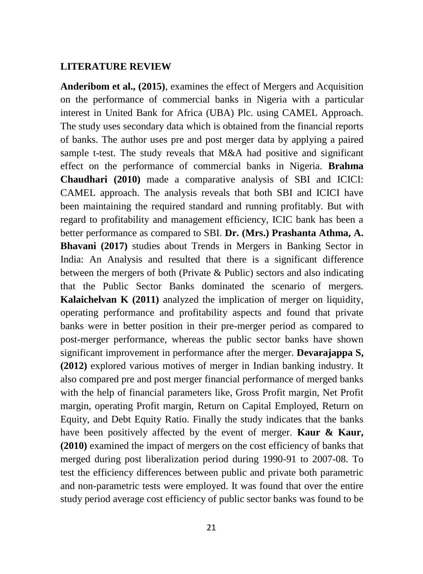#### **LITERATURE REVIEW**

**Anderibom et al., (2015)**, examines the effect of Mergers and Acquisition on the performance of commercial banks in Nigeria with a particular interest in United Bank for Africa (UBA) Plc. using CAMEL Approach. The study uses secondary data which is obtained from the financial reports of banks. The author uses pre and post merger data by applying a paired sample t-test. The study reveals that M&A had positive and significant effect on the performance of commercial banks in Nigeria. **Brahma Chaudhari (2010)** made a comparative analysis of SBI and ICICI: CAMEL approach. The analysis reveals that both SBI and ICICI have been maintaining the required standard and running profitably. But with regard to profitability and management efficiency, ICIC bank has been a better performance as compared to SBI. **Dr. (Mrs.) Prashanta Athma, A. Bhavani (2017)** studies about Trends in Mergers in Banking Sector in India: An Analysis and resulted that there is a significant difference between the mergers of both (Private & Public) sectors and also indicating that the Public Sector Banks dominated the scenario of mergers. **Kalaichelvan K (2011)** analyzed the implication of merger on liquidity, operating performance and profitability aspects and found that private banks were in better position in their pre-merger period as compared to post-merger performance, whereas the public sector banks have shown significant improvement in performance after the merger. **Devarajappa S, (2012)** explored various motives of merger in Indian banking industry. It also compared pre and post merger financial performance of merged banks with the help of financial parameters like, Gross Profit margin, Net Profit margin, operating Profit margin, Return on Capital Employed, Return on Equity, and Debt Equity Ratio. Finally the study indicates that the banks have been positively affected by the event of merger. **Kaur & Kaur, (2010)** examined the impact of mergers on the cost efficiency of banks that merged during post liberalization period during 1990-91 to 2007-08. To test the efficiency differences between public and private both parametric and non-parametric tests were employed. It was found that over the entire study period average cost efficiency of public sector banks was found to be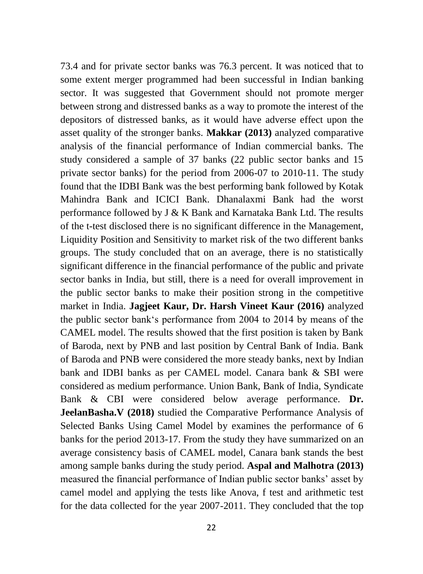73.4 and for private sector banks was 76.3 percent. It was noticed that to some extent merger programmed had been successful in Indian banking sector. It was suggested that Government should not promote merger between strong and distressed banks as a way to promote the interest of the depositors of distressed banks, as it would have adverse effect upon the asset quality of the stronger banks. **Makkar (2013)** analyzed comparative analysis of the financial performance of Indian commercial banks. The study considered a sample of 37 banks (22 public sector banks and 15 private sector banks) for the period from 2006-07 to 2010-11. The study found that the IDBI Bank was the best performing bank followed by Kotak Mahindra Bank and ICICI Bank. Dhanalaxmi Bank had the worst performance followed by J & K Bank and Karnataka Bank Ltd. The results of the t-test disclosed there is no significant difference in the Management, Liquidity Position and Sensitivity to market risk of the two different banks groups. The study concluded that on an average, there is no statistically significant difference in the financial performance of the public and private sector banks in India, but still, there is a need for overall improvement in the public sector banks to make their position strong in the competitive market in India. **Jagjeet Kaur, Dr. Harsh Vineet Kaur (2016)** analyzed the public sector bank's performance from 2004 to 2014 by means of the CAMEL model. The results showed that the first position is taken by Bank of Baroda, next by PNB and last position by Central Bank of India. Bank of Baroda and PNB were considered the more steady banks, next by Indian bank and IDBI banks as per CAMEL model. Canara bank & SBI were considered as medium performance. Union Bank, Bank of India, Syndicate Bank & CBI were considered below average performance. **Dr. JeelanBasha.V (2018)** studied the Comparative Performance Analysis of Selected Banks Using Camel Model by examines the performance of 6 banks for the period 2013-17. From the study they have summarized on an average consistency basis of CAMEL model, Canara bank stands the best among sample banks during the study period. **Aspal and Malhotra (2013)** measured the financial performance of Indian public sector banks' asset by camel model and applying the tests like Anova, f test and arithmetic test for the data collected for the year 2007-2011. They concluded that the top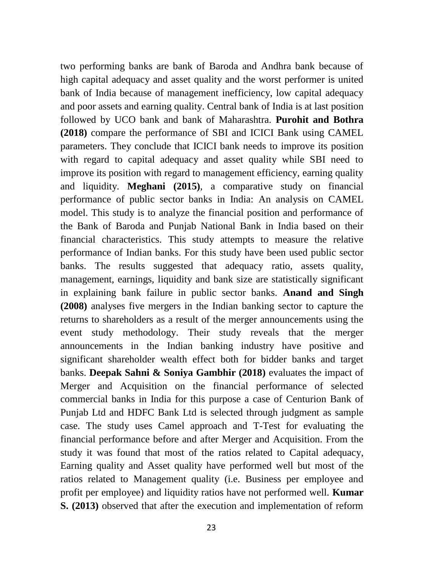two performing banks are bank of Baroda and Andhra bank because of high capital adequacy and asset quality and the worst performer is united bank of India because of management inefficiency, low capital adequacy and poor assets and earning quality. Central bank of India is at last position followed by UCO bank and bank of Maharashtra. **Purohit and Bothra (2018)** compare the performance of SBI and ICICI Bank using CAMEL parameters. They conclude that ICICI bank needs to improve its position with regard to capital adequacy and asset quality while SBI need to improve its position with regard to management efficiency, earning quality and liquidity. **Meghani (2015)**, a comparative study on financial performance of public sector banks in India: An analysis on CAMEL model. This study is to analyze the financial position and performance of the Bank of Baroda and Punjab National Bank in India based on their financial characteristics. This study attempts to measure the relative performance of Indian banks. For this study have been used public sector banks. The results suggested that adequacy ratio, assets quality, management, earnings, liquidity and bank size are statistically significant in explaining bank failure in public sector banks. **Anand and Singh (2008)** analyses five mergers in the Indian banking sector to capture the returns to shareholders as a result of the merger announcements using the event study methodology. Their study reveals that the merger announcements in the Indian banking industry have positive and significant shareholder wealth effect both for bidder banks and target banks. **Deepak Sahni & Soniya Gambhir (2018)** evaluates the impact of Merger and Acquisition on the financial performance of selected commercial banks in India for this purpose a case of Centurion Bank of Punjab Ltd and HDFC Bank Ltd is selected through judgment as sample case. The study uses Camel approach and T-Test for evaluating the financial performance before and after Merger and Acquisition. From the study it was found that most of the ratios related to Capital adequacy, Earning quality and Asset quality have performed well but most of the ratios related to Management quality (i.e. Business per employee and profit per employee) and liquidity ratios have not performed well. **Kumar S. (2013)** observed that after the execution and implementation of reform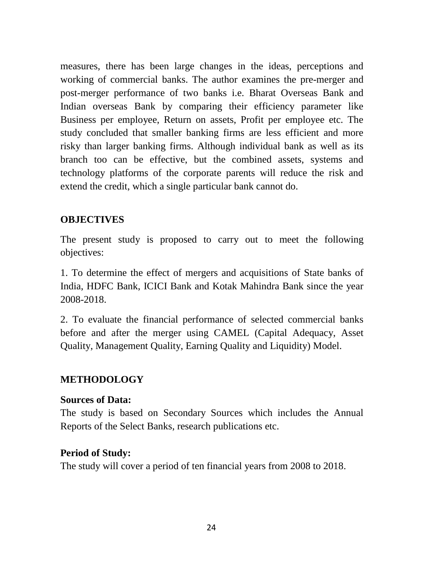measures, there has been large changes in the ideas, perceptions and working of commercial banks. The author examines the pre-merger and post-merger performance of two banks i.e. Bharat Overseas Bank and Indian overseas Bank by comparing their efficiency parameter like Business per employee, Return on assets, Profit per employee etc. The study concluded that smaller banking firms are less efficient and more risky than larger banking firms. Although individual bank as well as its branch too can be effective, but the combined assets, systems and technology platforms of the corporate parents will reduce the risk and extend the credit, which a single particular bank cannot do.

## **OBJECTIVES**

The present study is proposed to carry out to meet the following objectives:

1. To determine the effect of mergers and acquisitions of State banks of India, HDFC Bank, ICICI Bank and Kotak Mahindra Bank since the year 2008-2018.

2. To evaluate the financial performance of selected commercial banks before and after the merger using CAMEL (Capital Adequacy, Asset Quality, Management Quality, Earning Quality and Liquidity) Model.

## **METHODOLOGY**

### **Sources of Data:**

The study is based on Secondary Sources which includes the Annual Reports of the Select Banks, research publications etc.

## **Period of Study:**

The study will cover a period of ten financial years from 2008 to 2018.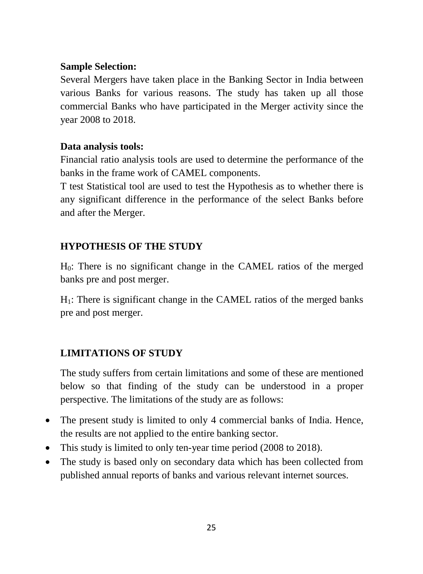## **Sample Selection:**

Several Mergers have taken place in the Banking Sector in India between various Banks for various reasons. The study has taken up all those commercial Banks who have participated in the Merger activity since the year 2008 to 2018.

## **Data analysis tools:**

Financial ratio analysis tools are used to determine the performance of the banks in the frame work of CAMEL components.

T test Statistical tool are used to test the Hypothesis as to whether there is any significant difference in the performance of the select Banks before and after the Merger.

# **HYPOTHESIS OF THE STUDY**

H0: There is no significant change in the CAMEL ratios of the merged banks pre and post merger.

 $H_1$ : There is significant change in the CAMEL ratios of the merged banks pre and post merger.

# **LIMITATIONS OF STUDY**

The study suffers from certain limitations and some of these are mentioned below so that finding of the study can be understood in a proper perspective. The limitations of the study are as follows:

- The present study is limited to only 4 commercial banks of India. Hence, the results are not applied to the entire banking sector.
- This study is limited to only ten-year time period (2008 to 2018).
- The study is based only on secondary data which has been collected from published annual reports of banks and various relevant internet sources.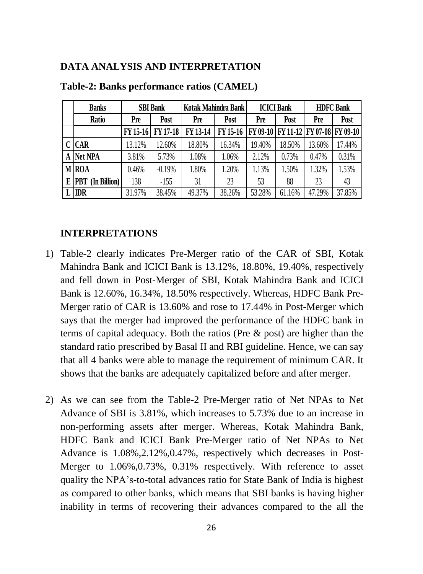### **DATA ANALYSIS AND INTERPRETATION**

| <b>Banks</b>                  | <b>SBI</b> Bank |          | Kotak Mahindra Bank |          | <b>ICICI Bank</b> |                                     | <b>HDFC Bank</b> |        |
|-------------------------------|-----------------|----------|---------------------|----------|-------------------|-------------------------------------|------------------|--------|
| Ratio                         | Pre             | Post     | Pre<br>Post         |          | Pre               | Post                                | Pre              | Post   |
|                               | FY 15-16        | FY 17-18 | FY 13-14            | FY 15-16 |                   | FY 09-10 FY 11-12 FY 07-08 FY 09-10 |                  |        |
| C CAR                         | 13.12%          | 12.60%   | 18.80%              | 16.34%   | 19.40%            | 18.50%                              | 13.60%           | 17.44% |
| <b>Net NPA</b>                | 3.81%           | 5.73%    | 1.08%               | 1.06%    | 2.12%             | 0.73%                               | 0.47%            | 0.31%  |
| M ROA                         | 0.46%           | $-0.19%$ | 1.80%               | 1.20%    | 1.13%             | 1.50%                               | 1.32%            | 1.53%  |
| (In <b>Billion</b> )<br>E PBT | 138             | $-155$   | 31                  | 23       | 53                | 88                                  | 23               | 43     |
| L IDR                         | 31.97%          | 38.45%   | 49.37%              | 38.26%   | 53.28%            | 61.16%                              | 47.29%           | 37.85% |

#### **Table-2: Banks performance ratios (CAMEL)**

#### **INTERPRETATIONS**

- 1) Table-2 clearly indicates Pre-Merger ratio of the CAR of SBI, Kotak Mahindra Bank and ICICI Bank is 13.12%, 18.80%, 19.40%, respectively and fell down in Post-Merger of SBI, Kotak Mahindra Bank and ICICI Bank is 12.60%, 16.34%, 18.50% respectively. Whereas, HDFC Bank Pre-Merger ratio of CAR is 13.60% and rose to 17.44% in Post-Merger which says that the merger had improved the performance of the HDFC bank in terms of capital adequacy. Both the ratios (Pre & post) are higher than the standard ratio prescribed by Basal II and RBI guideline. Hence, we can say that all 4 banks were able to manage the requirement of minimum CAR. It shows that the banks are adequately capitalized before and after merger.
- 2) As we can see from the Table-2 Pre-Merger ratio of Net NPAs to Net Advance of SBI is 3.81%, which increases to 5.73% due to an increase in non-performing assets after merger. Whereas, Kotak Mahindra Bank, HDFC Bank and ICICI Bank Pre-Merger ratio of Net NPAs to Net Advance is 1.08%,2.12%,0.47%, respectively which decreases in Post-Merger to 1.06%,0.73%, 0.31% respectively. With reference to asset quality the NPA's-to-total advances ratio for State Bank of India is highest as compared to other banks, which means that SBI banks is having higher inability in terms of recovering their advances compared to the all the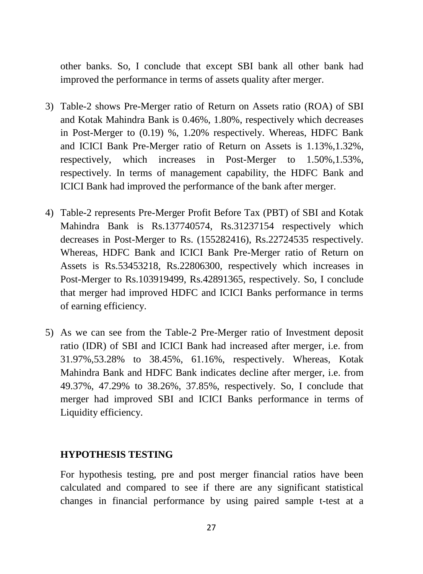other banks. So, I conclude that except SBI bank all other bank had improved the performance in terms of assets quality after merger.

- 3) Table-2 shows Pre-Merger ratio of Return on Assets ratio (ROA) of SBI and Kotak Mahindra Bank is 0.46%, 1.80%, respectively which decreases in Post-Merger to (0.19) %, 1.20% respectively. Whereas, HDFC Bank and ICICI Bank Pre-Merger ratio of Return on Assets is 1.13%,1.32%, respectively, which increases in Post-Merger to 1.50%,1.53%, respectively. In terms of management capability, the HDFC Bank and ICICI Bank had improved the performance of the bank after merger.
- 4) Table-2 represents Pre-Merger Profit Before Tax (PBT) of SBI and Kotak Mahindra Bank is Rs.137740574, Rs.31237154 respectively which decreases in Post-Merger to Rs. (155282416), Rs.22724535 respectively. Whereas, HDFC Bank and ICICI Bank Pre-Merger ratio of Return on Assets is Rs.53453218, Rs.22806300, respectively which increases in Post-Merger to Rs.103919499, Rs.42891365, respectively. So, I conclude that merger had improved HDFC and ICICI Banks performance in terms of earning efficiency.
- 5) As we can see from the Table-2 Pre-Merger ratio of Investment deposit ratio (IDR) of SBI and ICICI Bank had increased after merger, i.e. from 31.97%,53.28% to 38.45%, 61.16%, respectively. Whereas, Kotak Mahindra Bank and HDFC Bank indicates decline after merger, i.e. from 49.37%, 47.29% to 38.26%, 37.85%, respectively. So, I conclude that merger had improved SBI and ICICI Banks performance in terms of Liquidity efficiency.

#### **HYPOTHESIS TESTING**

For hypothesis testing, pre and post merger financial ratios have been calculated and compared to see if there are any significant statistical changes in financial performance by using paired sample t-test at a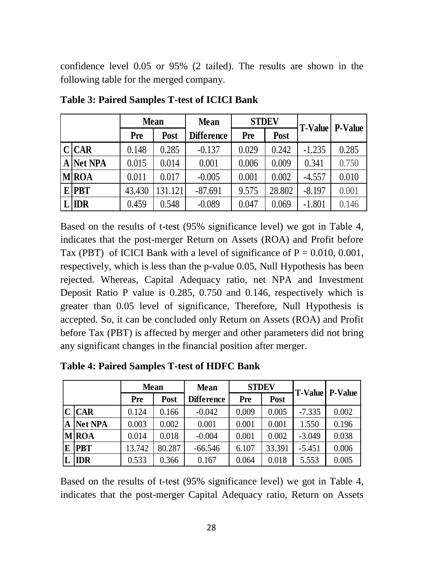confidence level 0.05 or 95% (2 tailed). The results are shown in the following table for the merged company.

|  |              | <b>Mean</b> |             | <b>Mean</b>       | <b>STDEV</b> |        |          | <b>T-Value</b> P-Value |
|--|--------------|-------------|-------------|-------------------|--------------|--------|----------|------------------------|
|  |              | Pre         | <b>Post</b> | <b>Difference</b> | Pre          | Post   |          |                        |
|  | C CAR        | 0.148       | 0.285       | $-0.137$          | 0.029        | 0.242  | $-1.235$ | 0.285                  |
|  | A Net NPA    | 0.015       | 0.014       | 0.001             | 0.006        | 0.009  | 0.341    | 0.750                  |
|  | <b>M</b> ROA | 0.011       | 0.017       | $-0.005$          | 0.001        | 0.002  | $-4.557$ | 0.010                  |
|  | <b>E</b> PBT | 43.430      | 131.121     | $-87.691$         | 9.575        | 28.802 | $-8.197$ | 0.001                  |
|  | $L$ IDR      | 0.459       | 0.548       | $-0.089$          | 0.047        | 0.069  | $-1.801$ | 0.146                  |

**Table 3: Paired Samples T-test of ICICI Bank**

Based on the results of t-test (95% significance level) we got in Table 4, indicates that the post-merger Return on Assets (ROA) and Profit before Tax (PBT) of ICICI Bank with a level of significance of  $P = 0.010, 0.001$ , respectively, which is less than the p-value 0.05, Null Hypothesis has been rejected. Whereas, Capital Adequacy ratio, net NPA and Investment Deposit Ratio P value is 0.285, 0.750 and 0.146, respectively which is greater than 0.05 level of significance, Therefore, Null Hypothesis is accepted. So, it can be concluded only Return on Assets (ROA) and Profit before Tax (PBT) is affected by merger and other parameters did not bring any significant changes in the financial position after merger.

|   | <b>Mean</b>    |        |             | <b>Mean</b>       | <b>STDEV</b> |        |          | <b>T-Value</b> P-Value |
|---|----------------|--------|-------------|-------------------|--------------|--------|----------|------------------------|
|   |                | Pre    | <b>Post</b> | <b>Difference</b> | Pre          | Post   |          |                        |
|   | $C$ $CAR$      | 0.124  | 0.166       | $-0.042$          | 0.009        | 0.005  | $-7.335$ | 0.002                  |
| A | <b>Net NPA</b> | 0.003  | 0.002       | 0.001             | 0.001        | 0.001  | 1.550    | 0.196                  |
|   | <b>M</b> ROA   | 0.014  | 0.018       | $-0.004$          | 0.001        | 0.002  | $-3.049$ | 0.038                  |
| E | <b>PBT</b>     | 13.742 | 80.287      | $-66.546$         | 6.107        | 33.391 | $-5.451$ | 0.006                  |
|   | <b>IDR</b>     | 0.533  | 0.366       | 0.167             | 0.064        | 0.018  | 5.553    | 0.005                  |

**Table 4: Paired Samples T-test of HDFC Bank**

Based on the results of t-test (95% significance level) we got in Table 4, indicates that the post-merger Capital Adequacy ratio, Return on Assets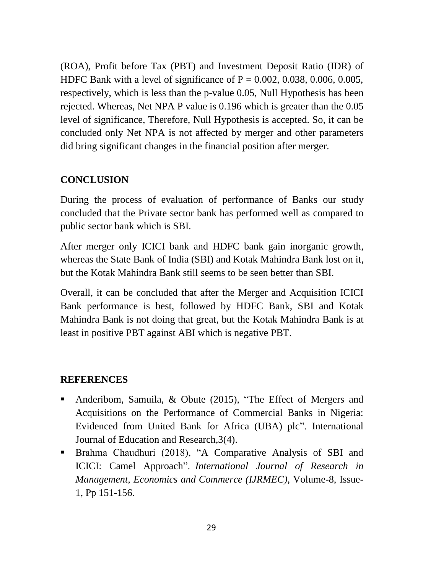(ROA), Profit before Tax (PBT) and Investment Deposit Ratio (IDR) of HDFC Bank with a level of significance of  $P = 0.002, 0.038, 0.006, 0.005$ , respectively, which is less than the p-value 0.05, Null Hypothesis has been rejected. Whereas, Net NPA P value is 0.196 which is greater than the 0.05 level of significance, Therefore, Null Hypothesis is accepted. So, it can be concluded only Net NPA is not affected by merger and other parameters did bring significant changes in the financial position after merger.

# **CONCLUSION**

During the process of evaluation of performance of Banks our study concluded that the Private sector bank has performed well as compared to public sector bank which is SBI.

After merger only ICICI bank and HDFC bank gain inorganic growth, whereas the State Bank of India (SBI) and Kotak Mahindra Bank lost on it, but the Kotak Mahindra Bank still seems to be seen better than SBI.

Overall, it can be concluded that after the Merger and Acquisition ICICI Bank performance is best, followed by HDFC Bank, SBI and Kotak Mahindra Bank is not doing that great, but the Kotak Mahindra Bank is at least in positive PBT against ABI which is negative PBT.

## **REFERENCES**

- Anderibom, Samuila, & Obute (2015), "The Effect of Mergers and Acquisitions on the Performance of Commercial Banks in Nigeria: Evidenced from United Bank for Africa (UBA) plc". International Journal of Education and Research,3(4).
- Brahma Chaudhuri (2018), "A Comparative Analysis of SBI and ICICI: Camel Approach". *International Journal of Research in Management, Economics and Commerce (IJRMEC)*, Volume-8, Issue-1, Pp 151-156.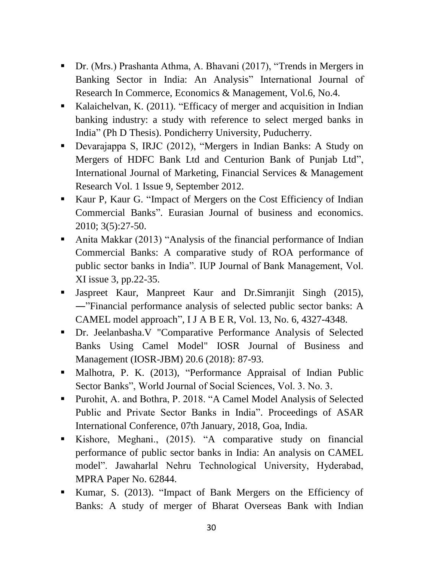- Dr. (Mrs.) Prashanta Athma, A. Bhavani (2017), "Trends in Mergers in Banking Sector in India: An Analysis" International Journal of Research In Commerce, Economics & Management, Vol.6, No.4.
- Kalaichelvan, K. (2011). "Efficacy of merger and acquisition in Indian banking industry: a study with reference to select merged banks in India" (Ph D Thesis). Pondicherry University, Puducherry.
- Devarajappa S, IRJC (2012), "Mergers in Indian Banks: A Study on Mergers of HDFC Bank Ltd and Centurion Bank of Punjab Ltd", International Journal of Marketing, Financial Services & Management Research Vol. 1 Issue 9, September 2012.
- Kaur P, Kaur G. "Impact of Mergers on the Cost Efficiency of Indian Commercial Banks". Eurasian Journal of business and economics. 2010; 3(5):27-50.
- Anita Makkar (2013) "Analysis of the financial performance of Indian Commercial Banks: A comparative study of ROA performance of public sector banks in India". IUP Journal of Bank Management, Vol. XI issue 3, pp.22-35.
- Jaspreet Kaur, Manpreet Kaur and Dr.Simranjit Singh (2015), ―"Financial performance analysis of selected public sector banks: A CAMEL model approach", I J A B E R, Vol. 13, No. 6, 4327-4348.
- Dr. Jeelanbasha.V "Comparative Performance Analysis of Selected Banks Using Camel Model" IOSR Journal of Business and Management (IOSR-JBM) 20.6 (2018): 87-93.
- Malhotra, P. K. (2013), "Performance Appraisal of Indian Public Sector Banks", World Journal of Social Sciences, Vol. 3. No. 3.
- Purohit, A. and Bothra, P. 2018. "A Camel Model Analysis of Selected Public and Private Sector Banks in India". Proceedings of ASAR International Conference, 07th January, 2018, Goa, India.
- Kishore, Meghani., (2015). "A comparative study on financial performance of public sector banks in India: An analysis on CAMEL model". Jawaharlal Nehru Technological University, Hyderabad, MPRA Paper No. 62844.
- Kumar, S. (2013). "Impact of Bank Mergers on the Efficiency of Banks: A study of merger of Bharat Overseas Bank with Indian